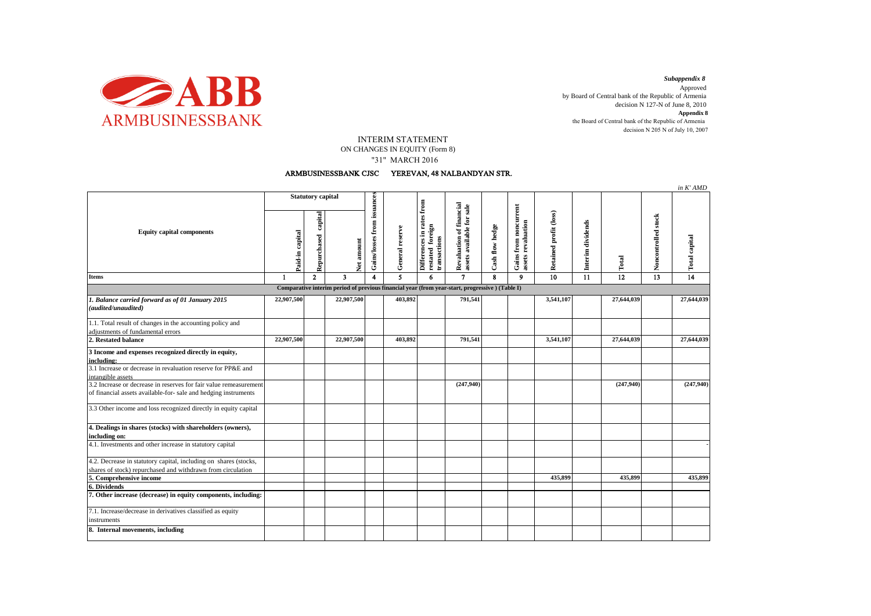

decision N 205 N of July 10, 2007 *Subappendix 8*  Approved by Board of Central bank of the Republic of Armenia decision N 127-N of June 8, 2010 **Appendix 8** the Board of Central bank of the Republic of Armenia

## INTERIM STATEMENT

ON CHANGES IN EQUITY (Form 8)

"31" MARCH 2016

## ARMBUSINESSBANK CJSC YEREVAN, 48 NALBANDYAN STR.

|                                                                                                                                      |                          |                        |            |                             |                         |                                                                                             |                                                       |                 |                                             |                        |                   |                 |                     | in K' AMD            |
|--------------------------------------------------------------------------------------------------------------------------------------|--------------------------|------------------------|------------|-----------------------------|-------------------------|---------------------------------------------------------------------------------------------|-------------------------------------------------------|-----------------|---------------------------------------------|------------------------|-------------------|-----------------|---------------------|----------------------|
| <b>Equity capital components</b>                                                                                                     | <b>Statutory capital</b> |                        |            |                             |                         | from                                                                                        |                                                       |                 |                                             |                        |                   |                 |                     |                      |
|                                                                                                                                      | Paid-in capital          | capital<br>Repurchased | Net amount | Gains/losses from issuances | General reserve         | in rates<br><b>Differences</b> in rate<br>restated foreign<br>restated fore<br>transactions | Revaluation of financial<br>assets available for sale | Cash flow hedge | Gains from noncurrent<br>assets revaluation | Retained profit (loss) | Interim dividends | Total           | Noncontrolled stock | <b>Total capital</b> |
| <b>Items</b>                                                                                                                         | $\mathbf{1}$             | $\mathbf{2}$           | 3          | 4                           | $\overline{\mathbf{5}}$ | 6                                                                                           | $\mathbf{7}$                                          | 8               | 9                                           | $\overline{10}$        | 11                | $\overline{12}$ | 13                  | 14                   |
| Comparative interim period of previous financial year (from year-start, progressive) (Table I)                                       |                          |                        |            |                             |                         |                                                                                             |                                                       |                 |                                             |                        |                   |                 |                     |                      |
| 1. Balance carried forward as of 01 January 2015<br>(audited/unaudited)                                                              | 22,907,500               |                        | 22,907,500 |                             | 403,892                 |                                                                                             | 791,541                                               |                 |                                             | 3,541,107              |                   | 27,644,039      |                     | 27,644,039           |
| 1.1. Total result of changes in the accounting policy and<br>adjustments of fundamental errors                                       |                          |                        |            |                             |                         |                                                                                             |                                                       |                 |                                             |                        |                   |                 |                     |                      |
| 2. Restated balance                                                                                                                  | 22,907,500               |                        | 22,907,500 |                             | 403,892                 |                                                                                             | 791.541                                               |                 |                                             | 3,541,107              |                   | 27,644,039      |                     | 27,644,039           |
| 3 Income and expenses recognized directly in equity,<br>including:                                                                   |                          |                        |            |                             |                         |                                                                                             |                                                       |                 |                                             |                        |                   |                 |                     |                      |
| 3.1 Increase or decrease in revaluation reserve for PP&E and<br>intangible assets                                                    |                          |                        |            |                             |                         |                                                                                             |                                                       |                 |                                             |                        |                   |                 |                     |                      |
| 3.2 Increase or decrease in reserves for fair value remeasurement<br>of financial assets available-for- sale and hedging instruments |                          |                        |            |                             |                         |                                                                                             | (247,940)                                             |                 |                                             |                        |                   | (247,940)       |                     | (247,940)            |
| 3.3 Other income and loss recognized directly in equity capital                                                                      |                          |                        |            |                             |                         |                                                                                             |                                                       |                 |                                             |                        |                   |                 |                     |                      |
| 4. Dealings in shares (stocks) with shareholders (owners),<br>including on:                                                          |                          |                        |            |                             |                         |                                                                                             |                                                       |                 |                                             |                        |                   |                 |                     |                      |
| 4.1. Investments and other increase in statutory capital                                                                             |                          |                        |            |                             |                         |                                                                                             |                                                       |                 |                                             |                        |                   |                 |                     |                      |
| 4.2. Decrease in statutory capital, including on shares (stocks,<br>shares of stock) repurchased and withdrawn from circulation      |                          |                        |            |                             |                         |                                                                                             |                                                       |                 |                                             |                        |                   |                 |                     |                      |
| 5. Comprehensive income                                                                                                              |                          |                        |            |                             |                         |                                                                                             |                                                       |                 |                                             | 435,899                |                   | 435,899         |                     | 435.899              |
| 6. Dividends                                                                                                                         |                          |                        |            |                             |                         |                                                                                             |                                                       |                 |                                             |                        |                   |                 |                     |                      |
| 7. Other increase (decrease) in equity components, including:                                                                        |                          |                        |            |                             |                         |                                                                                             |                                                       |                 |                                             |                        |                   |                 |                     |                      |
| 7.1. Increase/decrease in derivatives classified as equity                                                                           |                          |                        |            |                             |                         |                                                                                             |                                                       |                 |                                             |                        |                   |                 |                     |                      |
| instruments                                                                                                                          |                          |                        |            |                             |                         |                                                                                             |                                                       |                 |                                             |                        |                   |                 |                     |                      |
| 8. Internal movements, including                                                                                                     |                          |                        |            |                             |                         |                                                                                             |                                                       |                 |                                             |                        |                   |                 |                     |                      |